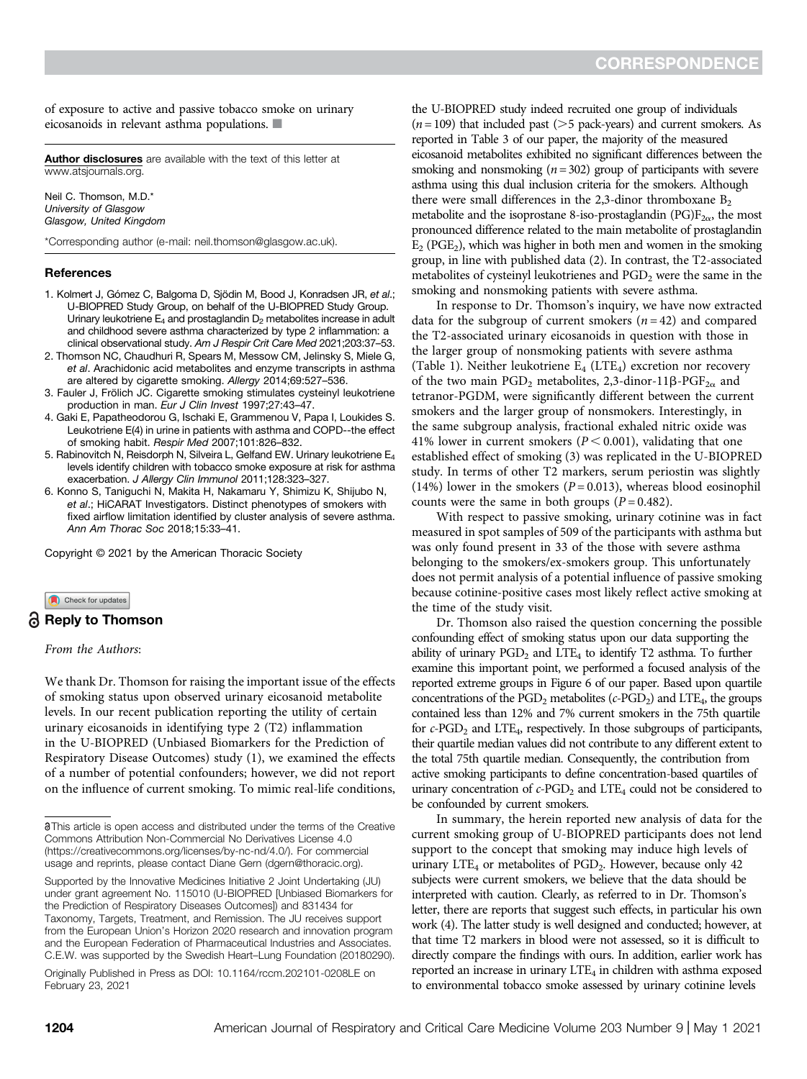of exposure to active and passive tobacco smoke on urinary eicosanoids in relevant asthma populations.  $\blacksquare$ 

[Author disclosures](http://www.atsjournals.org/doi/suppl/10.1164/rccm.202101-0011LE/suppl_file/disclosures.pdf) are available with the text of this letter at [www.atsjournals.org.](http://www.atsjournals.org)

Neil C. Thomson, M.D.\* University of Glasgow Glasgow, United Kingdom

\*Corresponding author (e-mail: [neil.thomson@glasgow.ac.uk\)](mailto:neil.thomson@glasgow.ac.uk).

### References

- 1. Kolmert J, Gómez C, Balgoma D, Sjödin M, Bood J, Konradsen JR, et al.; U-BIOPRED Study Group, on behalf of the U-BIOPRED Study Group. Urinary leukotriene  $E_4$  and prostaglandin  $D_2$  metabolites increase in adult and childhood severe asthma characterized by type 2 inflammation: a clinical observational study. Am J Respir Crit Care Med 2021;203:37–53.
- 2. Thomson NC, Chaudhuri R, Spears M, Messow CM, Jelinsky S, Miele G, et al. Arachidonic acid metabolites and enzyme transcripts in asthma are altered by cigarette smoking. Allergy 2014;69:527–536.
- 3. Fauler J, Frölich JC. Cigarette smoking stimulates cysteinyl leukotriene production in man. Eur J Clin Invest 1997;27:43–47.
- 4. Gaki E, Papatheodorou G, Ischaki E, Grammenou V, Papa I, Loukides S. Leukotriene E(4) in urine in patients with asthma and COPD--the effect of smoking habit. Respir Med 2007;101:826–832.
- 5. Rabinovitch N, Reisdorph N, Silveira L, Gelfand EW. Urinary leukotriene E<sub>4</sub> levels identify children with tobacco smoke exposure at risk for asthma exacerbation. J Allergy Clin Immunol 2011;128:323–327.
- 6. Konno S, Taniguchi N, Makita H, Nakamaru Y, Shimizu K, Shijubo N, et al.; HiCARAT Investigators. Distinct phenotypes of smokers with fixed airflow limitation identified by cluster analysis of severe asthma. Ann Am Thorac Soc 2018;15:33–41.

Copyright © 2021 by the American Thoracic Society

### Check for updates

# Reply to Thomson

# From the Authors:

We thank Dr. Thomson for raising the important issue of the effects of smoking status upon observed urinary eicosanoid metabolite levels. In our recent publication reporting the utility of certain urinary eicosanoids in identifying type 2 (T2) inflammation in the U-BIOPRED (Unbiased Biomarkers for the Prediction of Respiratory Disease Outcomes) study (1), we examined the effects of a number of potential confounders; however, we did not report on the influence of current smoking. To mimic real-life conditions,

Originally Published in Press as DOI: [10.1164/rccm.202101-0208LE](http://dx.doi.org/10.1164/rccm.202101-0208LE) on February 23, 2021

the U-BIOPRED study indeed recruited one group of individuals  $(n= 109)$  that included past ( $> 5$  pack-years) and current smokers. As reported in Table 3 of our paper, the majority of the measured eicosanoid metabolites exhibited no significant differences between the smoking and nonsmoking  $(n = 302)$  group of participants with severe asthma using this dual inclusion criteria for the smokers. Although there were small differences in the 2,3-dinor thromboxane  $B_2$ metabolite and the isoprostane 8-iso-prostaglandin (PG) $F_{2\alpha}$ , the most pronounced difference related to the main metabolite of prostaglandin  $E_2$  (PGE<sub>2</sub>), which was higher in both men and women in the smoking group, in line with published data (2). In contrast, the T2-associated metabolites of cysteinyl leukotrienes and  $PGD<sub>2</sub>$  were the same in the smoking and nonsmoking patients with severe asthma.

In response to Dr. Thomson's inquiry, we have now extracted data for the subgroup of current smokers  $(n = 42)$  and compared the T2-associated urinary eicosanoids in question with those in the larger group of nonsmoking patients with severe asthma (Table 1). Neither leukotriene  $E_4$  (LTE<sub>4</sub>) excretion nor recovery of the two main PGD<sub>2</sub> metabolites, 2,3-dinor-11 $\beta$ -PGF<sub>2a</sub> and tetranor-PGDM, were significantly different between the current smokers and the larger group of nonsmokers. Interestingly, in the same subgroup analysis, fractional exhaled nitric oxide was 41% lower in current smokers ( $P < 0.001$ ), validating that one established effect of smoking (3) was replicated in the U-BIOPRED study. In terms of other T2 markers, serum periostin was slightly (14%) lower in the smokers ( $P = 0.013$ ), whereas blood eosinophil counts were the same in both groups  $(P = 0.482)$ .

With respect to passive smoking, urinary cotinine was in fact measured in spot samples of 509 of the participants with asthma but was only found present in 33 of the those with severe asthma belonging to the smokers/ex-smokers group. This unfortunately does not permit analysis of a potential influence of passive smoking because cotinine-positive cases most likely reflect active smoking at the time of the study visit.

Dr. Thomson also raised the question concerning the possible confounding effect of smoking status upon our data supporting the ability of urinary  $PGD<sub>2</sub>$  and LTE<sub>4</sub> to identify T2 asthma. To further examine this important point, we performed a focused analysis of the reported extreme groups in Figure 6 of our paper. Based upon quartile concentrations of the  $PGD_2$  metabolites (c-PGD<sub>2</sub>) and LTE<sub>4</sub>, the groups contained less than 12% and 7% current smokers in the 75th quartile for  $c$ -PGD<sub>2</sub> and LTE<sub>4</sub>, respectively. In those subgroups of participants, their quartile median values did not contribute to any different extent to the total 75th quartile median. Consequently, the contribution from active smoking participants to define concentration-based quartiles of urinary concentration of  $c$ -PGD<sub>2</sub> and LTE<sub>4</sub> could not be considered to be confounded by current smokers.

In summary, the herein reported new analysis of data for the current smoking group of U-BIOPRED participants does not lend support to the concept that smoking may induce high levels of urinary LTE<sub>4</sub> or metabolites of PGD<sub>2</sub>. However, because only 42 subjects were current smokers, we believe that the data should be interpreted with caution. Clearly, as referred to in Dr. Thomson's letter, there are reports that suggest such effects, in particular his own work (4). The latter study is well designed and conducted; however, at that time T2 markers in blood were not assessed, so it is difficult to directly compare the findings with ours. In addition, earlier work has reported an increase in urinary  $LTE_4$  in children with asthma exposed to environmental tobacco smoke assessed by urinary cotinine levels

This article is open access and distributed under the terms of the Creative Commons Attribution Non-Commercial No Derivatives License 4.0 [\(https://creativecommons.org/licenses/by-nc-nd/4.0/\)](https://creativecommons.org/licenses/by-nc-nd/4.0/). For commercial usage and reprints, please contact Diane Gern [\(dgern@thoracic.org\)](mailto:dgern@thoracic.org).

Supported by the Innovative Medicines Initiative 2 Joint Undertaking (JU) under grant agreement No. 115010 (U-BIOPRED [Unbiased Biomarkers for the Prediction of Respiratory Diseases Outcomes]) and 831434 for Taxonomy, Targets, Treatment, and Remission. The JU receives support from the European Union's Horizon 2020 research and innovation program and the European Federation of Pharmaceutical Industries and Associates. C.E.W. was supported by the Swedish Heart–Lung Foundation (20180290).